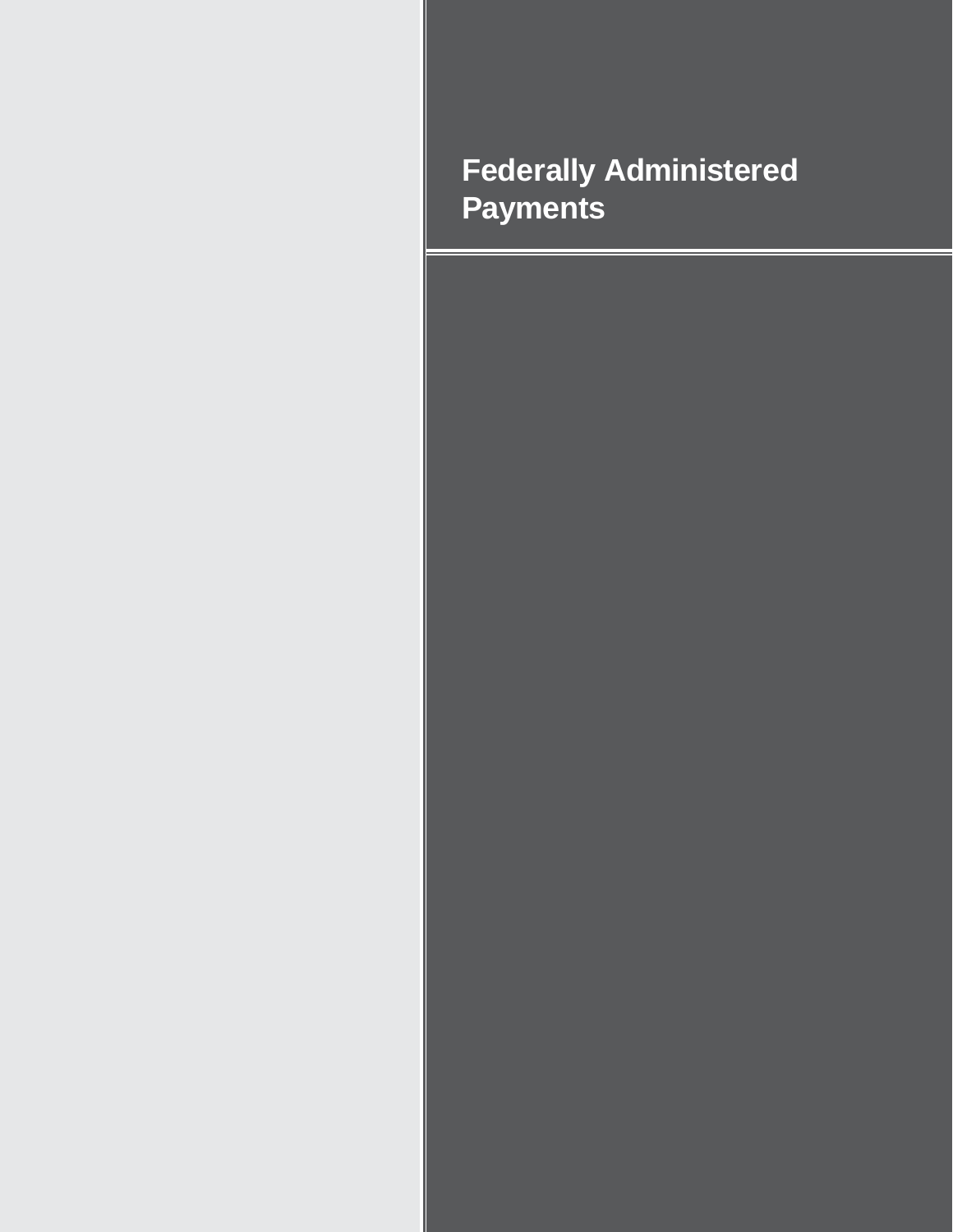# **Federally Administered Payments**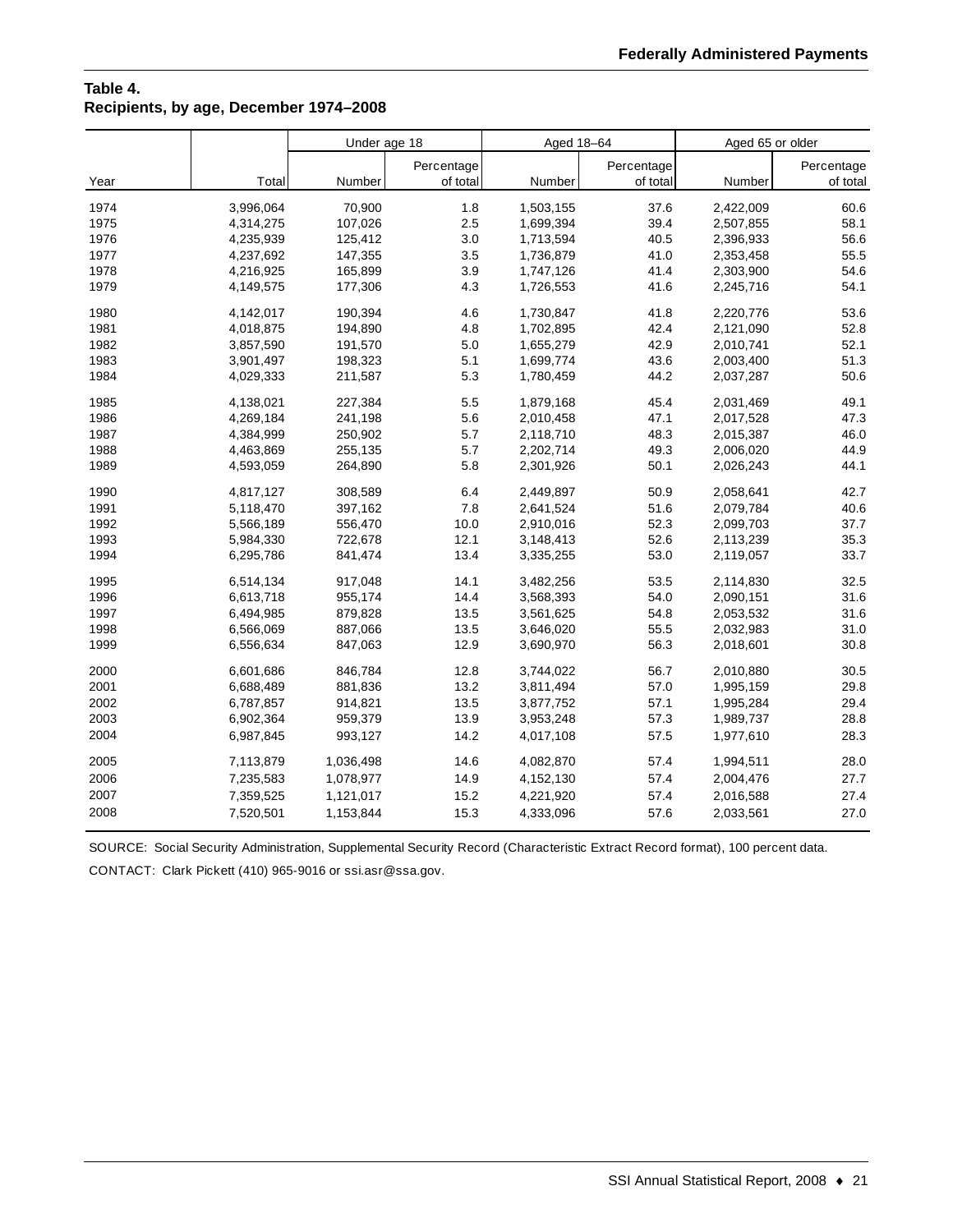# **Table 4. Recipients, by age, December 1974–2008**

|      |           | Under age 18 |            | Aged 18-64 |            | Aged 65 or older |            |
|------|-----------|--------------|------------|------------|------------|------------------|------------|
|      |           |              | Percentage |            | Percentage |                  | Percentage |
| Year | Total     | Number       | of total   | Number     | of total   | Number           | of total   |
| 1974 | 3,996,064 | 70,900       | 1.8        | 1,503,155  | 37.6       | 2,422,009        | 60.6       |
| 1975 | 4,314,275 | 107,026      | 2.5        | 1,699,394  | 39.4       | 2,507,855        | 58.1       |
| 1976 | 4,235,939 | 125,412      | 3.0        | 1,713,594  | 40.5       | 2,396,933        | 56.6       |
| 1977 | 4,237,692 | 147,355      | 3.5        | 1,736,879  | 41.0       | 2,353,458        | 55.5       |
| 1978 | 4,216,925 | 165,899      | 3.9        | 1,747,126  | 41.4       | 2,303,900        | 54.6       |
| 1979 | 4,149,575 | 177,306      | 4.3        | 1,726,553  | 41.6       | 2,245,716        | 54.1       |
| 1980 | 4,142,017 | 190,394      | 4.6        | 1,730,847  | 41.8       | 2,220,776        | 53.6       |
| 1981 | 4,018,875 | 194,890      | 4.8        | 1,702,895  | 42.4       | 2,121,090        | 52.8       |
| 1982 | 3,857,590 | 191,570      | 5.0        | 1,655,279  | 42.9       | 2,010,741        | 52.1       |
| 1983 | 3,901,497 | 198,323      | 5.1        | 1,699,774  | 43.6       | 2,003,400        | 51.3       |
| 1984 | 4,029,333 | 211,587      | 5.3        | 1,780,459  | 44.2       | 2,037,287        | 50.6       |
| 1985 | 4,138,021 | 227,384      | 5.5        | 1,879,168  | 45.4       | 2,031,469        | 49.1       |
| 1986 | 4,269,184 | 241,198      | 5.6        | 2,010,458  | 47.1       | 2,017,528        | 47.3       |
| 1987 | 4,384,999 | 250,902      | 5.7        | 2,118,710  | 48.3       | 2,015,387        | 46.0       |
| 1988 | 4,463,869 | 255,135      | 5.7        | 2,202,714  | 49.3       | 2,006,020        | 44.9       |
| 1989 | 4,593,059 | 264,890      | 5.8        | 2,301,926  | 50.1       | 2,026,243        | 44.1       |
| 1990 | 4,817,127 | 308,589      | 6.4        | 2,449,897  | 50.9       | 2,058,641        | 42.7       |
| 1991 | 5,118,470 | 397,162      | 7.8        | 2,641,524  | 51.6       | 2,079,784        | 40.6       |
| 1992 | 5,566,189 | 556,470      | 10.0       | 2,910,016  | 52.3       | 2,099,703        | 37.7       |
| 1993 | 5,984,330 | 722,678      | 12.1       | 3,148,413  | 52.6       | 2,113,239        | 35.3       |
| 1994 | 6,295,786 | 841,474      | 13.4       | 3,335,255  | 53.0       | 2,119,057        | 33.7       |
| 1995 | 6,514,134 | 917,048      | 14.1       | 3,482,256  | 53.5       | 2,114,830        | 32.5       |
| 1996 | 6,613,718 | 955,174      | 14.4       | 3,568,393  | 54.0       | 2,090,151        | 31.6       |
| 1997 | 6,494,985 | 879,828      | 13.5       | 3,561,625  | 54.8       | 2,053,532        | 31.6       |
| 1998 | 6,566,069 | 887,066      | 13.5       | 3,646,020  | 55.5       | 2,032,983        | 31.0       |
| 1999 | 6,556,634 | 847,063      | 12.9       | 3,690,970  | 56.3       | 2,018,601        | 30.8       |
| 2000 | 6,601,686 | 846,784      | 12.8       | 3,744,022  | 56.7       | 2,010,880        | 30.5       |
| 2001 | 6,688,489 | 881,836      | 13.2       | 3,811,494  | 57.0       | 1,995,159        | 29.8       |
| 2002 | 6,787,857 | 914,821      | 13.5       | 3,877,752  | 57.1       | 1,995,284        | 29.4       |
| 2003 | 6,902,364 | 959,379      | 13.9       | 3,953,248  | 57.3       | 1,989,737        | 28.8       |
| 2004 | 6,987,845 | 993,127      | 14.2       | 4,017,108  | 57.5       | 1,977,610        | 28.3       |
| 2005 | 7,113,879 | 1,036,498    | 14.6       | 4,082,870  | 57.4       | 1,994,511        | 28.0       |
| 2006 | 7,235,583 | 1,078,977    | 14.9       | 4,152,130  | 57.4       | 2,004,476        | 27.7       |
| 2007 | 7,359,525 | 1,121,017    | 15.2       | 4,221,920  | 57.4       | 2,016,588        | 27.4       |
| 2008 | 7,520,501 | 1,153,844    | 15.3       | 4,333,096  | 57.6       | 2,033,561        | 27.0       |

SOURCE: Social Security Administration, Supplemental Security Record (Characteristic Extract Record format), 100 percent data.

CONTACT: Clark Pickett (410) 965-9016 or ssi.asr@ssa.gov.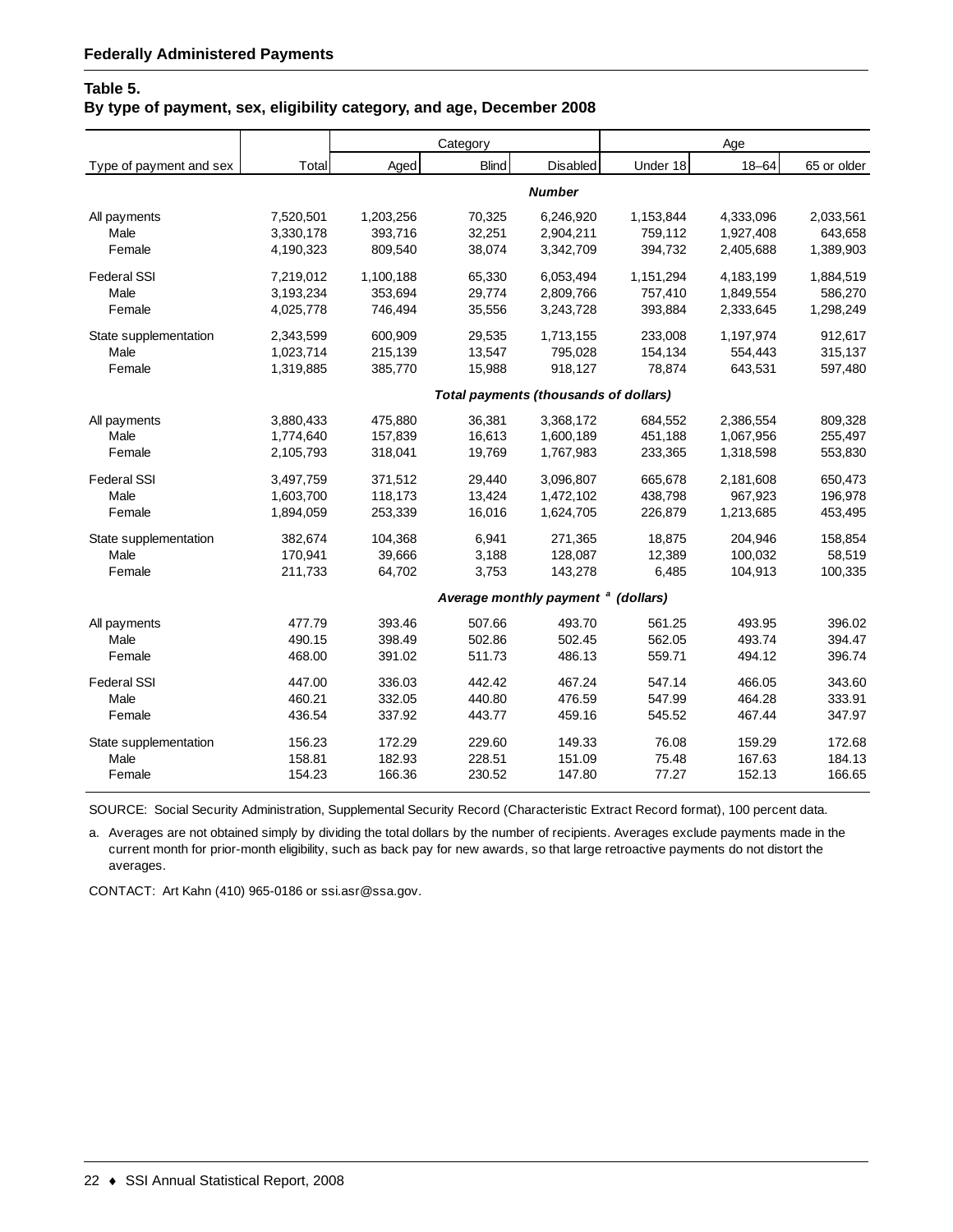#### **Table 5.**

#### **By type of payment, sex, eligibility category, and age, December 2008**

|                         |           |           | Category                                     |                                                |           | Age       |             |
|-------------------------|-----------|-----------|----------------------------------------------|------------------------------------------------|-----------|-----------|-------------|
| Type of payment and sex | Total     | Aged      | <b>Blind</b>                                 | Disabled                                       | Under 18  | $18 - 64$ | 65 or older |
|                         |           |           |                                              | <b>Number</b>                                  |           |           |             |
| All payments            | 7,520,501 | 1,203,256 | 70,325                                       | 6.246.920                                      | 1,153,844 | 4,333,096 | 2,033,561   |
| Male                    | 3,330,178 | 393,716   | 32,251                                       | 2,904,211                                      | 759,112   | 1,927,408 | 643,658     |
| Female                  | 4,190,323 | 809,540   | 38,074                                       | 3,342,709                                      | 394,732   | 2,405,688 | 1,389,903   |
| <b>Federal SSI</b>      | 7,219,012 | 1,100,188 | 65,330                                       | 6,053,494                                      | 1,151,294 | 4,183,199 | 1,884,519   |
| Male                    | 3,193,234 | 353,694   | 29,774                                       | 2,809,766                                      | 757,410   | 1,849,554 | 586,270     |
| Female                  | 4,025,778 | 746,494   | 35,556                                       | 3,243,728                                      | 393,884   | 2,333,645 | 1,298,249   |
| State supplementation   | 2,343,599 | 600,909   | 29,535                                       | 1,713,155                                      | 233,008   | 1,197,974 | 912,617     |
| Male                    | 1,023,714 | 215,139   | 13,547                                       | 795,028                                        | 154,134   | 554,443   | 315,137     |
| Female                  | 1,319,885 | 385,770   | 15,988                                       | 918,127                                        | 78,874    | 643,531   | 597,480     |
|                         |           |           | <b>Total payments (thousands of dollars)</b> |                                                |           |           |             |
| All payments            | 3,880,433 | 475,880   | 36,381                                       | 3,368,172                                      | 684,552   | 2,386,554 | 809,328     |
| Male                    | 1,774,640 | 157,839   | 16,613                                       | 1,600,189                                      | 451,188   | 1,067,956 | 255,497     |
| Female                  | 2,105,793 | 318,041   | 19,769                                       | 1,767,983                                      | 233,365   | 1,318,598 | 553,830     |
| <b>Federal SSI</b>      | 3,497,759 | 371,512   | 29,440                                       | 3,096,807                                      | 665,678   | 2,181,608 | 650,473     |
| Male                    | 1,603,700 | 118,173   | 13,424                                       | 1,472,102                                      | 438,798   | 967,923   | 196,978     |
| Female                  | 1,894,059 | 253,339   | 16,016                                       | 1,624,705                                      | 226,879   | 1,213,685 | 453,495     |
| State supplementation   | 382,674   | 104,368   | 6,941                                        | 271,365                                        | 18,875    | 204,946   | 158,854     |
| Male                    | 170.941   | 39.666    | 3.188                                        | 128,087                                        | 12.389    | 100.032   | 58,519      |
| Female                  | 211,733   | 64,702    | 3,753                                        | 143,278                                        | 6,485     | 104,913   | 100,335     |
|                         |           |           |                                              | Average monthly payment <sup>a</sup> (dollars) |           |           |             |
| All payments            | 477.79    | 393.46    | 507.66                                       | 493.70                                         | 561.25    | 493.95    | 396.02      |
| Male                    | 490.15    | 398.49    | 502.86                                       | 502.45                                         | 562.05    | 493.74    | 394.47      |
| Female                  | 468.00    | 391.02    | 511.73                                       | 486.13                                         | 559.71    | 494.12    | 396.74      |
| <b>Federal SSI</b>      | 447.00    | 336.03    | 442.42                                       | 467.24                                         | 547.14    | 466.05    | 343.60      |
| Male                    | 460.21    | 332.05    | 440.80                                       | 476.59                                         | 547.99    | 464.28    | 333.91      |
| Female                  | 436.54    | 337.92    | 443.77                                       | 459.16                                         | 545.52    | 467.44    | 347.97      |
| State supplementation   | 156.23    | 172.29    | 229.60                                       | 149.33                                         | 76.08     | 159.29    | 172.68      |
| Male                    | 158.81    | 182.93    | 228.51                                       | 151.09                                         | 75.48     | 167.63    | 184.13      |
| Female                  | 154.23    | 166.36    | 230.52                                       | 147.80                                         | 77.27     | 152.13    | 166.65      |

SOURCE: Social Security Administration, Supplemental Security Record (Characteristic Extract Record format), 100 percent data.

a. Averages are not obtained simply by dividing the total dollars by the number of recipients. Averages exclude payments made in the current month for prior-month eligibility, such as back pay for new awards, so that large retroactive payments do not distort the averages.

CONTACT: Art Kahn (410) 965-0186 or ssi.asr@ssa.gov.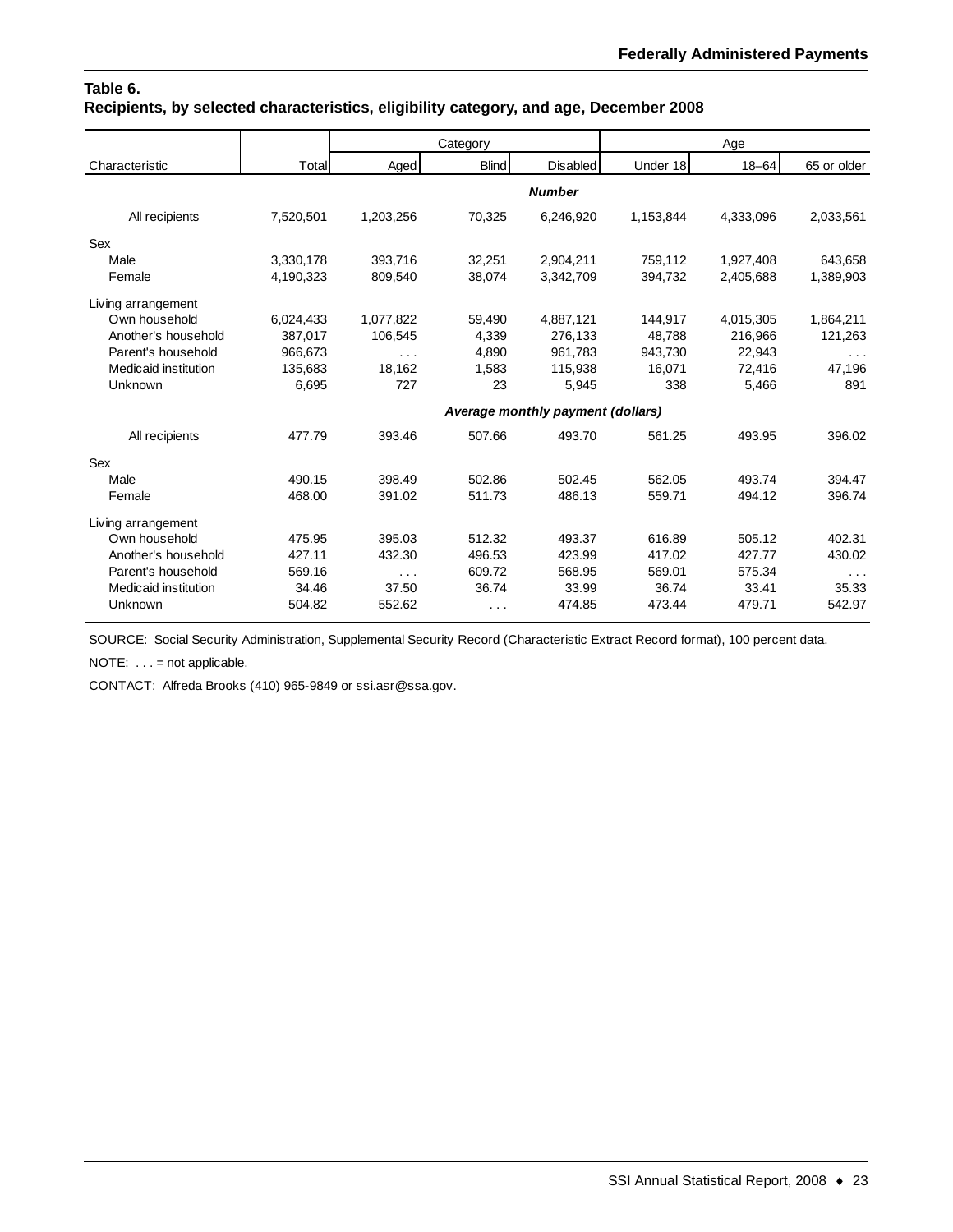## **Table 6. Recipients, by selected characteristics, eligibility category, and age, December 2008**

|                      |           |           | Category             |                                   |           | Age       |             |
|----------------------|-----------|-----------|----------------------|-----------------------------------|-----------|-----------|-------------|
| Characteristic       | Total     | Aged      | <b>Blind</b>         | <b>Disabled</b>                   | Under 18  | $18 - 64$ | 65 or older |
|                      |           |           |                      | <b>Number</b>                     |           |           |             |
| All recipients       | 7,520,501 | 1,203,256 | 70,325               | 6,246,920                         | 1,153,844 | 4,333,096 | 2,033,561   |
| Sex                  |           |           |                      |                                   |           |           |             |
| Male                 | 3,330,178 | 393,716   | 32,251               | 2,904,211                         | 759,112   | 1,927,408 | 643,658     |
| Female               | 4,190,323 | 809,540   | 38,074               | 3,342,709                         | 394,732   | 2,405,688 | 1,389,903   |
| Living arrangement   |           |           |                      |                                   |           |           |             |
| Own household        | 6,024,433 | 1,077,822 | 59,490               | 4,887,121                         | 144,917   | 4,015,305 | 1,864,211   |
| Another's household  | 387,017   | 106.545   | 4.339                | 276,133                           | 48.788    | 216,966   | 121,263     |
| Parent's household   | 966,673   | $\cdots$  | 4,890                | 961,783                           | 943,730   | 22,943    | $\cdots$    |
| Medicaid institution | 135,683   | 18.162    | 1,583                | 115,938                           | 16.071    | 72,416    | 47,196      |
| Unknown              | 6,695     | 727       | 23                   | 5,945                             | 338       | 5,466     | 891         |
|                      |           |           |                      | Average monthly payment (dollars) |           |           |             |
| All recipients       | 477.79    | 393.46    | 507.66               | 493.70                            | 561.25    | 493.95    | 396.02      |
| Sex                  |           |           |                      |                                   |           |           |             |
| Male                 | 490.15    | 398.49    | 502.86               | 502.45                            | 562.05    | 493.74    | 394.47      |
| Female               | 468.00    | 391.02    | 511.73               | 486.13                            | 559.71    | 494.12    | 396.74      |
| Living arrangement   |           |           |                      |                                   |           |           |             |
| Own household        | 475.95    | 395.03    | 512.32               | 493.37                            | 616.89    | 505.12    | 402.31      |
| Another's household  | 427.11    | 432.30    | 496.53               | 423.99                            | 417.02    | 427.77    | 430.02      |
| Parent's household   | 569.16    | $\cdots$  | 609.72               | 568.95                            | 569.01    | 575.34    | $\sim 100$  |
| Medicaid institution | 34.46     | 37.50     | 36.74                | 33.99                             | 36.74     | 33.41     | 35.33       |
| Unknown              | 504.82    | 552.62    | $\sim$ $\sim$ $\sim$ | 474.85                            | 473.44    | 479.71    | 542.97      |

SOURCE: Social Security Administration, Supplemental Security Record (Characteristic Extract Record format), 100 percent data.

NOTE: . . . = not applicable.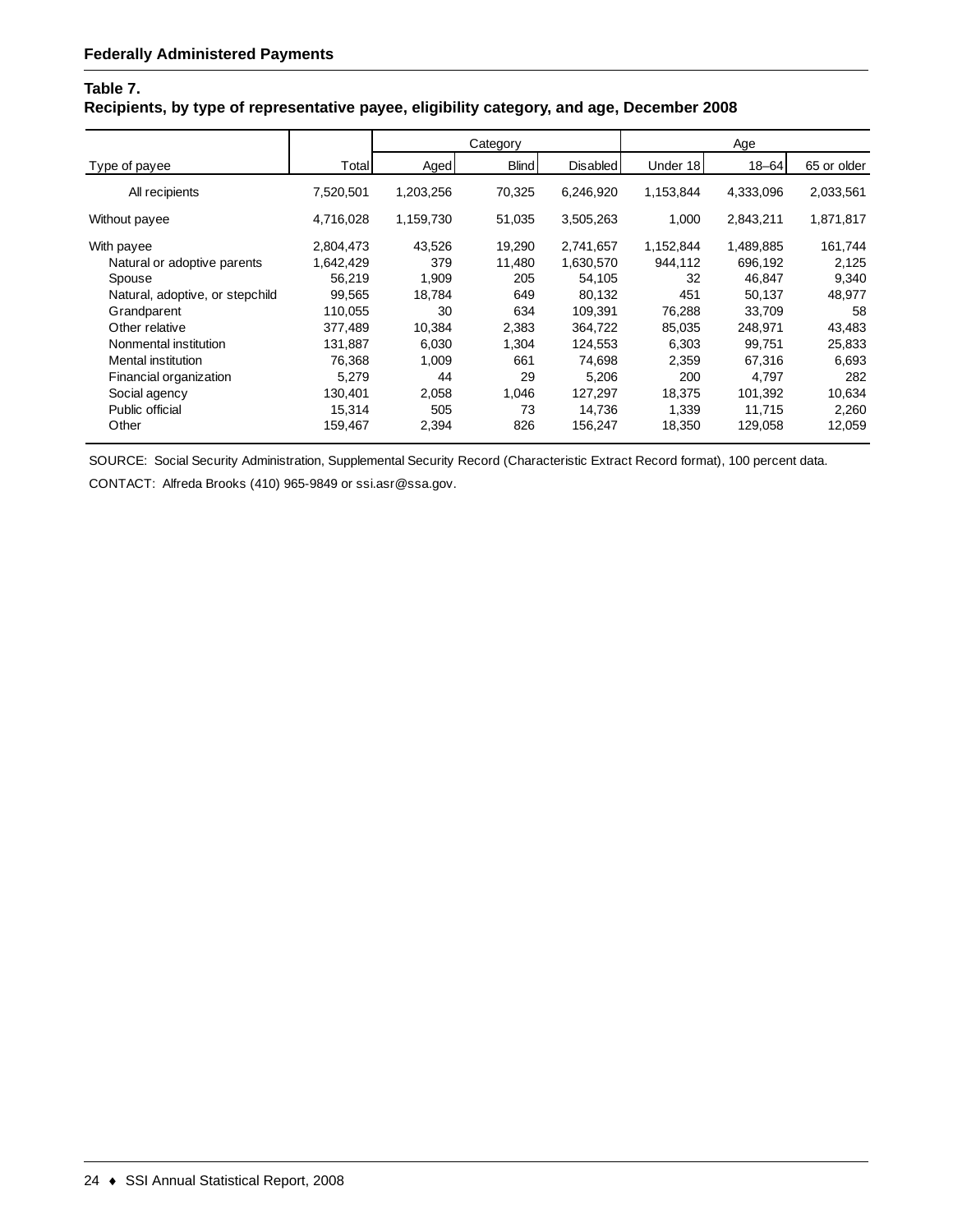## **Table 7.**

## **Recipients, by type of representative payee, eligibility category, and age, December 2008**

|                                 |           |           | Category     |           |           | Age       |             |
|---------------------------------|-----------|-----------|--------------|-----------|-----------|-----------|-------------|
| Type of payee                   | Total     | Aged      | <b>Blind</b> | Disabled  | Under 18  | $18 - 64$ | 65 or older |
| All recipients                  | 7,520,501 | 1,203,256 | 70,325       | 6,246,920 | 1,153,844 | 4,333,096 | 2,033,561   |
| Without payee                   | 4,716,028 | 1,159,730 | 51,035       | 3,505,263 | 1,000     | 2,843,211 | 1,871,817   |
| With payee                      | 2,804,473 | 43,526    | 19,290       | 2,741,657 | 1,152,844 | 1,489,885 | 161,744     |
| Natural or adoptive parents     | 1,642,429 | 379       | 11,480       | 1,630,570 | 944,112   | 696,192   | 2,125       |
| Spouse                          | 56,219    | 1,909     | 205          | 54,105    | 32        | 46,847    | 9,340       |
| Natural, adoptive, or stepchild | 99,565    | 18,784    | 649          | 80,132    | 451       | 50,137    | 48,977      |
| Grandparent                     | 110,055   | 30        | 634          | 109,391   | 76,288    | 33,709    | 58          |
| Other relative                  | 377.489   | 10.384    | 2,383        | 364,722   | 85,035    | 248.971   | 43,483      |
| Nonmental institution           | 131,887   | 6.030     | 1,304        | 124,553   | 6,303     | 99.751    | 25,833      |
| Mental institution              | 76,368    | 1,009     | 661          | 74,698    | 2,359     | 67,316    | 6,693       |
| Financial organization          | 5,279     | 44        | 29           | 5,206     | 200       | 4,797     | 282         |
| Social agency                   | 130,401   | 2,058     | 1,046        | 127,297   | 18,375    | 101,392   | 10,634      |
| Public official                 | 15,314    | 505       | 73           | 14,736    | 1,339     | 11,715    | 2,260       |
| Other                           | 159,467   | 2,394     | 826          | 156,247   | 18,350    | 129,058   | 12,059      |

SOURCE: Social Security Administration, Supplemental Security Record (Characteristic Extract Record format), 100 percent data.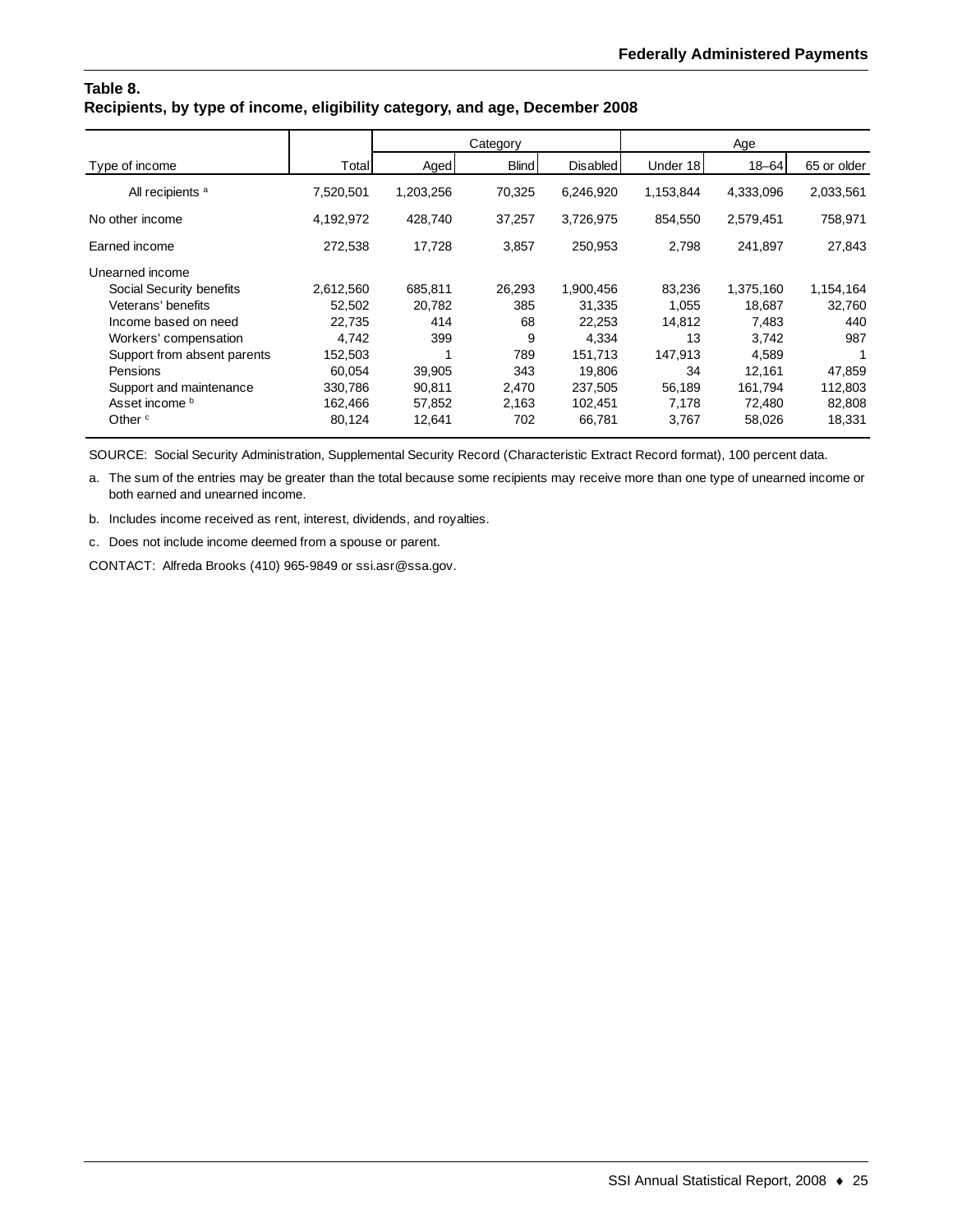#### **Table 8. Recipients, by type of income, eligibility category, and age, December 2008**

|                             |           |           | Category     |                 |           | Age       |             |
|-----------------------------|-----------|-----------|--------------|-----------------|-----------|-----------|-------------|
| Type of income              | Total     | Aged      | <b>Blind</b> | <b>Disabled</b> | Under 18  | $18 - 64$ | 65 or older |
| All recipients <sup>a</sup> | 7,520,501 | 1,203,256 | 70,325       | 6,246,920       | 1,153,844 | 4,333,096 | 2,033,561   |
| No other income             | 4,192,972 | 428,740   | 37,257       | 3,726,975       | 854,550   | 2,579,451 | 758,971     |
| Earned income               | 272,538   | 17,728    | 3,857        | 250,953         | 2,798     | 241,897   | 27,843      |
| Unearned income             |           |           |              |                 |           |           |             |
| Social Security benefits    | 2,612,560 | 685,811   | 26,293       | 1,900,456       | 83,236    | 1,375,160 | 1,154,164   |
| Veterans' benefits          | 52.502    | 20,782    | 385          | 31,335          | 1.055     | 18.687    | 32,760      |
| Income based on need        | 22,735    | 414       | 68           | 22,253          | 14,812    | 7,483     | 440         |
| Workers' compensation       | 4,742     | 399       | 9            | 4,334           | 13        | 3,742     | 987         |
| Support from absent parents | 152,503   |           | 789          | 151,713         | 147,913   | 4,589     |             |
| Pensions                    | 60,054    | 39,905    | 343          | 19,806          | 34        | 12,161    | 47,859      |
| Support and maintenance     | 330,786   | 90,811    | 2,470        | 237,505         | 56,189    | 161,794   | 112,803     |
| Asset income b              | 162,466   | 57,852    | 2,163        | 102,451         | 7.178     | 72.480    | 82,808      |
| Other $\circ$               | 80,124    | 12,641    | 702          | 66,781          | 3,767     | 58,026    | 18,331      |

SOURCE: Social Security Administration, Supplemental Security Record (Characteristic Extract Record format), 100 percent data.

a. The sum of the entries may be greater than the total because some recipients may receive more than one type of unearned income or both earned and unearned income.

b. Includes income received as rent, interest, dividends, and royalties.

c. Does not include income deemed from a spouse or parent.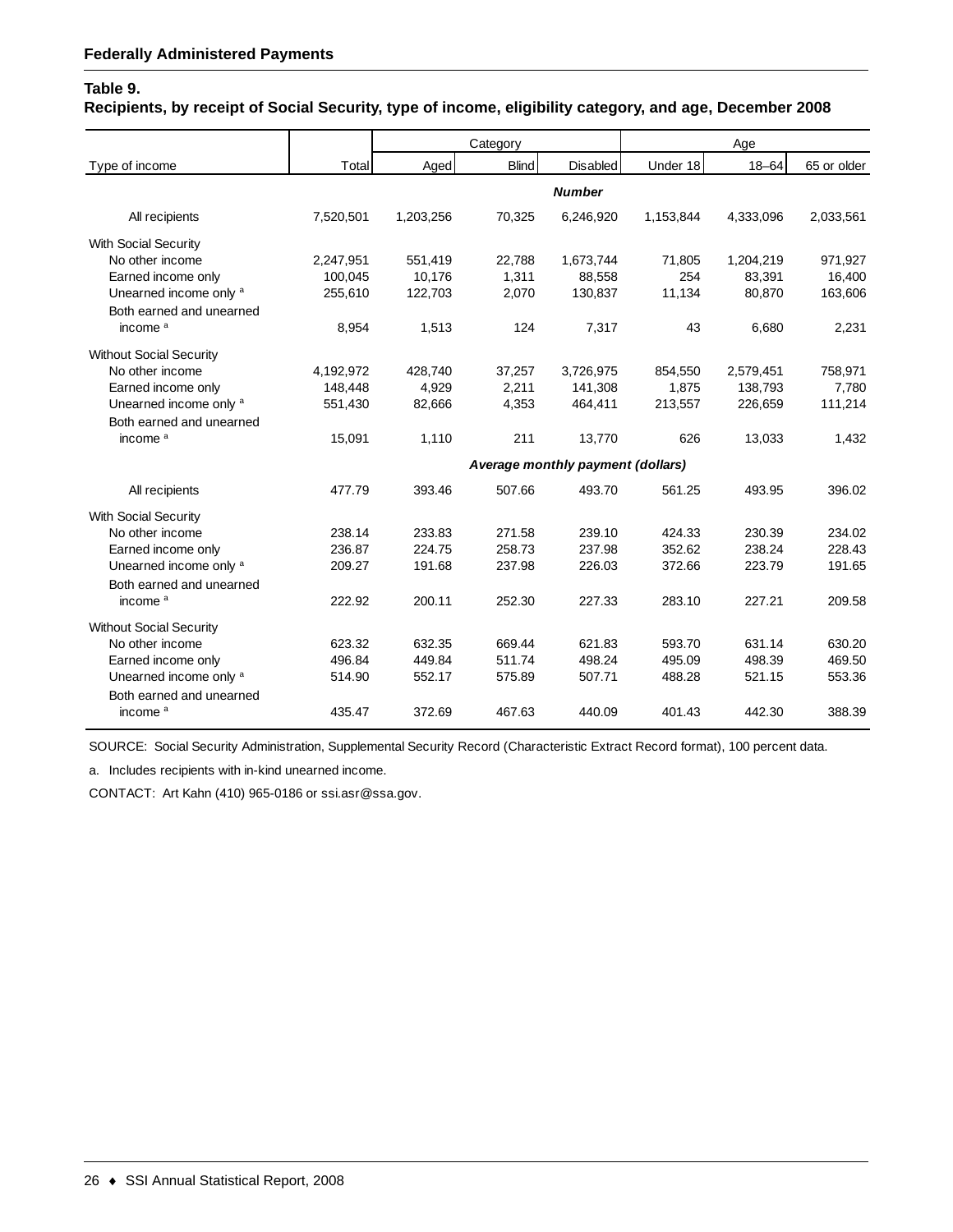## **Table 9.**

**Recipients, by receipt of Social Security, type of income, eligibility category, and age, December 2008**

|                                |           |           | Category     |                                   |           | Age       |             |
|--------------------------------|-----------|-----------|--------------|-----------------------------------|-----------|-----------|-------------|
| Type of income                 | Total     | Aged      | <b>Blind</b> | <b>Disabled</b>                   | Under 18  | $18 - 64$ | 65 or older |
|                                |           |           |              | <b>Number</b>                     |           |           |             |
| All recipients                 | 7,520,501 | 1,203,256 | 70,325       | 6,246,920                         | 1,153,844 | 4,333,096 | 2,033,561   |
| <b>With Social Security</b>    |           |           |              |                                   |           |           |             |
| No other income                | 2,247,951 | 551,419   | 22,788       | 1,673,744                         | 71,805    | 1,204,219 | 971,927     |
| Earned income only             | 100,045   | 10,176    | 1,311        | 88,558                            | 254       | 83,391    | 16,400      |
| Unearned income only a         | 255,610   | 122,703   | 2,070        | 130,837                           | 11,134    | 80,870    | 163,606     |
| Both earned and unearned       |           |           |              |                                   |           |           |             |
| income <sup>a</sup>            | 8,954     | 1,513     | 124          | 7,317                             | 43        | 6,680     | 2,231       |
| <b>Without Social Security</b> |           |           |              |                                   |           |           |             |
| No other income                | 4,192,972 | 428,740   | 37,257       | 3,726,975                         | 854,550   | 2,579,451 | 758,971     |
| Earned income only             | 148,448   | 4,929     | 2,211        | 141,308                           | 1,875     | 138,793   | 7,780       |
| Unearned income only a         | 551,430   | 82,666    | 4,353        | 464,411                           | 213,557   | 226,659   | 111,214     |
| Both earned and unearned       |           |           |              |                                   |           |           |             |
| income <sup>a</sup>            | 15,091    | 1,110     | 211          | 13,770                            | 626       | 13,033    | 1,432       |
|                                |           |           |              | Average monthly payment (dollars) |           |           |             |
| All recipients                 | 477.79    | 393.46    | 507.66       | 493.70                            | 561.25    | 493.95    | 396.02      |
| <b>With Social Security</b>    |           |           |              |                                   |           |           |             |
| No other income                | 238.14    | 233.83    | 271.58       | 239.10                            | 424.33    | 230.39    | 234.02      |
| Earned income only             | 236.87    | 224.75    | 258.73       | 237.98                            | 352.62    | 238.24    | 228.43      |
| Unearned income only a         | 209.27    | 191.68    | 237.98       | 226.03                            | 372.66    | 223.79    | 191.65      |
| Both earned and unearned       |           |           |              |                                   |           |           |             |
| income <sup>a</sup>            | 222.92    | 200.11    | 252.30       | 227.33                            | 283.10    | 227.21    | 209.58      |
| <b>Without Social Security</b> |           |           |              |                                   |           |           |             |
| No other income                | 623.32    | 632.35    | 669.44       | 621.83                            | 593.70    | 631.14    | 630.20      |
| Earned income only             | 496.84    | 449.84    | 511.74       | 498.24                            | 495.09    | 498.39    | 469.50      |
| Unearned income only a         | 514.90    | 552.17    | 575.89       | 507.71                            | 488.28    | 521.15    | 553.36      |
| Both earned and unearned       |           |           |              |                                   |           |           |             |
| income <sup>a</sup>            | 435.47    | 372.69    | 467.63       | 440.09                            | 401.43    | 442.30    | 388.39      |
|                                |           |           |              |                                   |           |           |             |

SOURCE: Social Security Administration, Supplemental Security Record (Characteristic Extract Record format), 100 percent data.

a. Includes recipients with in-kind unearned income.

CONTACT: Art Kahn (410) 965-0186 or ssi.asr@ssa.gov.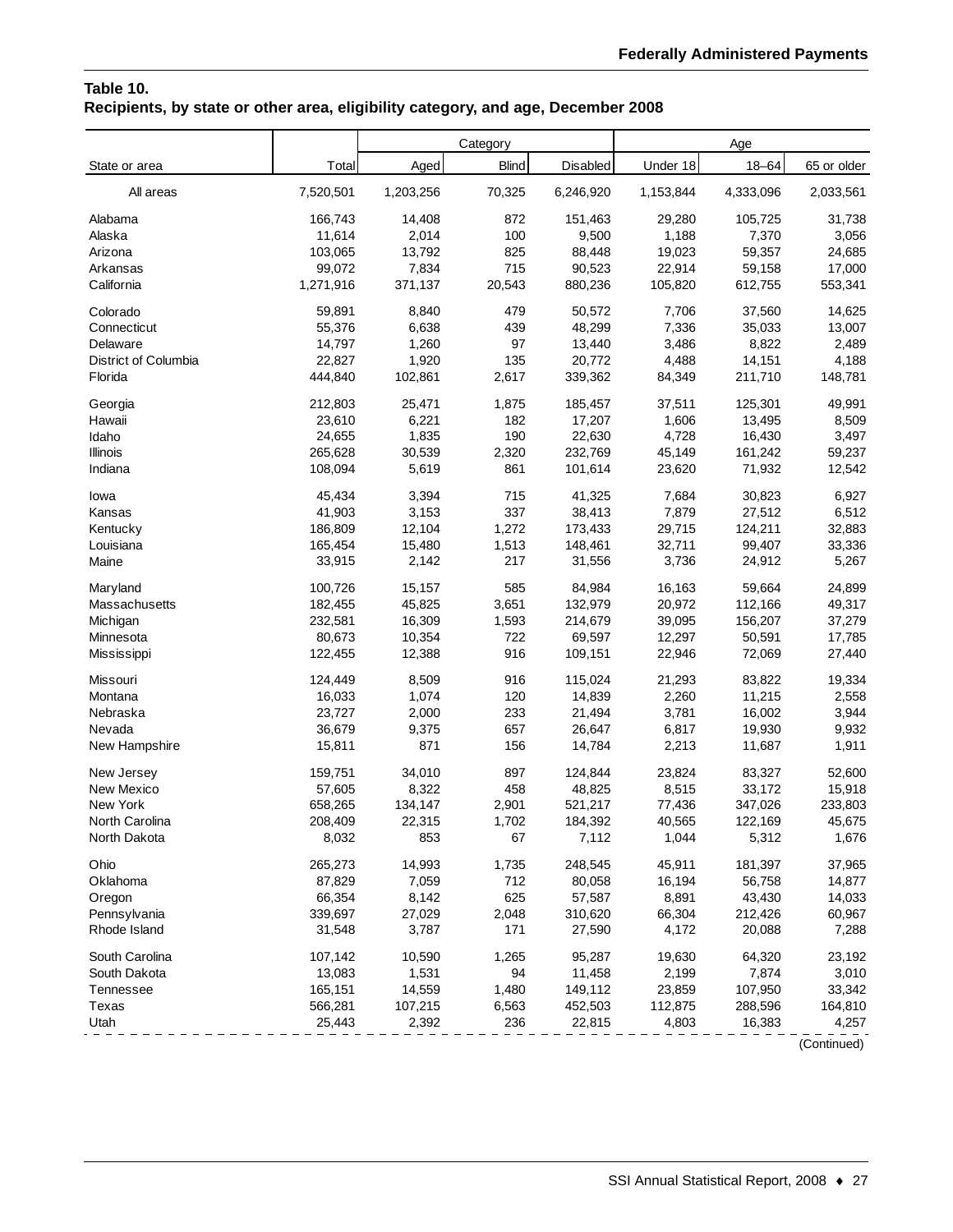## **Table 10. Recipients, by state or other area, eligibility category, and age, December 2008**

|                      |           |           | Category     |           |           | Age       |             |
|----------------------|-----------|-----------|--------------|-----------|-----------|-----------|-------------|
| State or area        | Total     | Aged      | <b>Blind</b> | Disabled  | Under 18  | $18 - 64$ | 65 or older |
| All areas            | 7,520,501 | 1,203,256 | 70,325       | 6,246,920 | 1,153,844 | 4,333,096 | 2,033,561   |
| Alabama              | 166,743   | 14,408    | 872          | 151,463   | 29,280    | 105,725   | 31,738      |
| Alaska               | 11,614    | 2,014     | 100          | 9,500     | 1,188     | 7,370     | 3,056       |
| Arizona              | 103,065   | 13,792    | 825          | 88,448    | 19,023    | 59,357    | 24,685      |
| Arkansas             | 99,072    | 7,834     | 715          | 90,523    | 22,914    | 59,158    | 17,000      |
| California           | 1,271,916 | 371,137   | 20,543       | 880,236   | 105,820   | 612,755   | 553,341     |
| Colorado             | 59,891    | 8,840     | 479          | 50,572    | 7,706     | 37,560    | 14,625      |
| Connecticut          | 55,376    | 6,638     | 439          | 48,299    | 7,336     | 35,033    | 13,007      |
| Delaware             | 14,797    | 1,260     | 97           | 13,440    | 3,486     | 8,822     | 2,489       |
| District of Columbia | 22,827    | 1,920     | 135          | 20,772    | 4,488     | 14,151    | 4,188       |
| Florida              | 444,840   | 102,861   | 2,617        | 339,362   | 84,349    | 211,710   | 148,781     |
| Georgia              | 212,803   | 25,471    | 1,875        | 185,457   | 37,511    | 125,301   | 49,991      |
| Hawaii               | 23,610    | 6,221     | 182          | 17,207    | 1,606     | 13,495    | 8,509       |
| Idaho                | 24,655    | 1,835     | 190          | 22,630    | 4,728     | 16,430    | 3,497       |
| Illinois             | 265,628   | 30,539    | 2,320        | 232,769   | 45,149    | 161,242   | 59,237      |
| Indiana              | 108,094   | 5,619     | 861          | 101,614   | 23,620    | 71,932    | 12,542      |
| lowa                 | 45,434    | 3,394     | 715          | 41,325    | 7,684     | 30,823    | 6,927       |
| Kansas               | 41,903    | 3,153     | 337          | 38,413    | 7,879     | 27,512    | 6,512       |
| Kentucky             | 186,809   | 12,104    | 1,272        | 173,433   | 29,715    | 124,211   | 32,883      |
| Louisiana            | 165,454   | 15,480    | 1,513        | 148,461   | 32,711    | 99,407    | 33,336      |
| Maine                | 33,915    | 2,142     | 217          | 31,556    | 3,736     | 24,912    | 5,267       |
| Maryland             | 100,726   | 15,157    | 585          | 84,984    | 16,163    | 59,664    | 24,899      |
| Massachusetts        | 182,455   | 45,825    | 3,651        | 132,979   | 20,972    | 112,166   | 49,317      |
| Michigan             | 232,581   | 16,309    | 1,593        | 214,679   | 39,095    | 156,207   | 37,279      |
| Minnesota            | 80,673    | 10,354    | 722          | 69,597    | 12,297    | 50,591    | 17,785      |
| Mississippi          | 122,455   | 12,388    | 916          | 109,151   | 22,946    | 72,069    | 27,440      |
| Missouri             | 124,449   | 8,509     | 916          | 115,024   | 21,293    | 83,822    | 19,334      |
| Montana              | 16,033    | 1,074     | 120          | 14,839    | 2,260     | 11,215    | 2,558       |
| Nebraska             | 23,727    | 2,000     | 233          | 21,494    | 3,781     | 16,002    | 3,944       |
| Nevada               | 36,679    | 9,375     | 657          | 26,647    | 6,817     | 19,930    | 9,932       |
| New Hampshire        | 15,811    | 871       | 156          | 14,784    | 2,213     | 11,687    | 1,911       |
| New Jersey           | 159,751   | 34,010    | 897          | 124,844   | 23,824    | 83,327    | 52,600      |
| New Mexico           | 57,605    | 8,322     | 458          | 48,825    | 8,515     | 33,172    | 15,918      |
| New York             | 658,265   | 134,147   | 2,901        | 521,217   | 77,436    | 347,026   | 233,803     |
| North Carolina       | 208,409   | 22,315    | 1,702        | 184,392   | 40,565    | 122,169   | 45,675      |
| North Dakota         | 8,032     | 853       | 67           | 7,112     | 1,044     | 5,312     | 1,676       |
| Ohio                 | 265,273   | 14,993    | 1,735        | 248,545   | 45,911    | 181,397   | 37,965      |
| Oklahoma             | 87,829    | 7,059     | 712          | 80,058    | 16,194    | 56,758    | 14,877      |
| Oregon               | 66,354    | 8,142     | 625          | 57,587    | 8,891     | 43,430    | 14,033      |
| Pennsylvania         | 339,697   | 27,029    | 2,048        | 310,620   | 66,304    | 212,426   | 60,967      |
| Rhode Island         | 31,548    | 3,787     | 171          | 27,590    | 4,172     | 20,088    | 7,288       |
| South Carolina       | 107,142   | 10,590    | 1,265        | 95,287    | 19,630    | 64,320    | 23,192      |
| South Dakota         | 13,083    | 1,531     | 94           | 11,458    | 2,199     | 7,874     | 3,010       |
| Tennessee            | 165,151   | 14,559    | 1,480        | 149,112   | 23,859    | 107,950   | 33,342      |
| Texas                | 566,281   | 107,215   | 6,563        | 452,503   | 112,875   | 288,596   | 164,810     |
| Utah                 | 25,443    | 2,392     | 236          | 22,815    | 4,803     | 16,383    | 4,257       |

(Continued)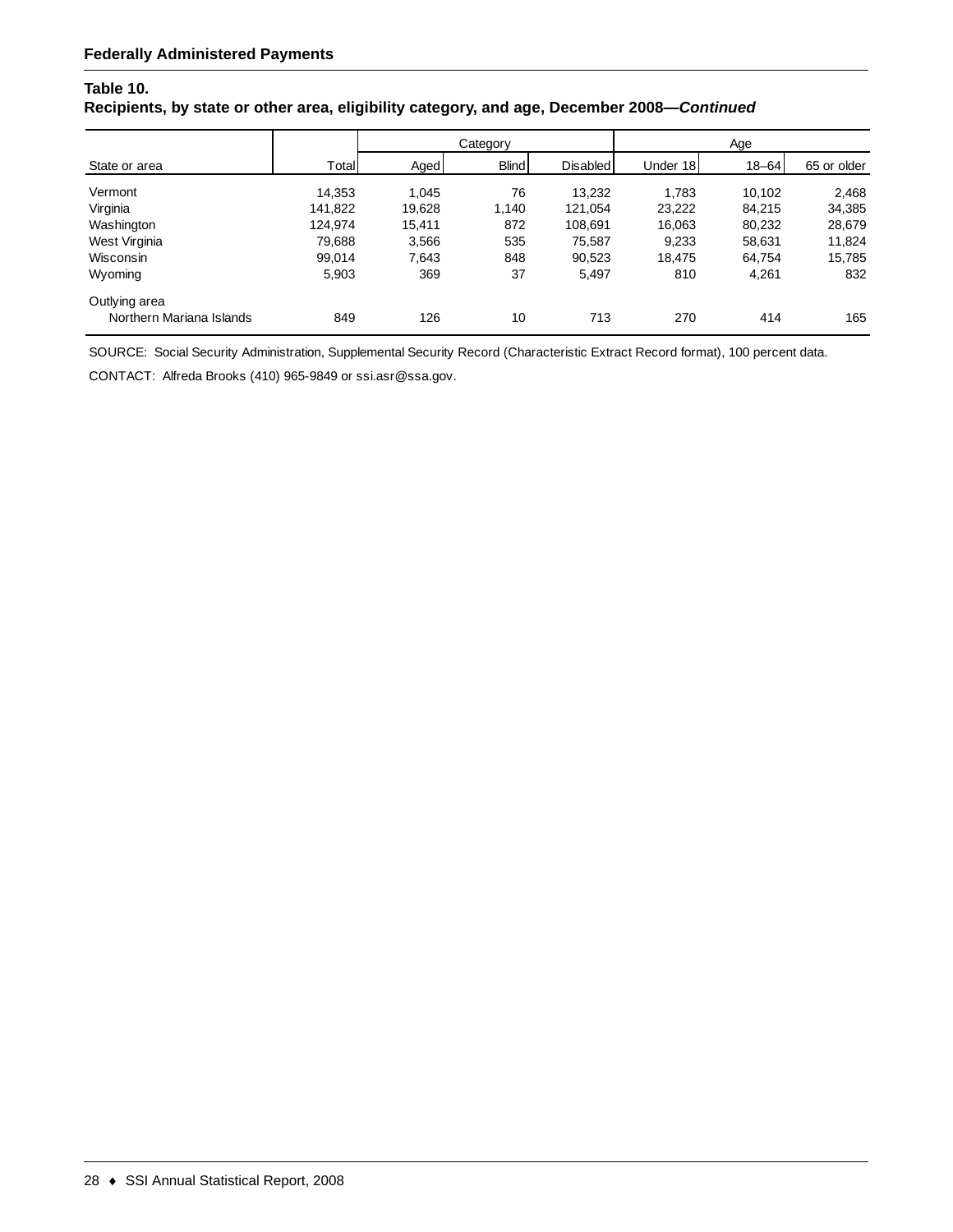## **Table 10.**

#### **Recipients, by state or other area, eligibility category, and age, December 2008—***Continued*

|                          |         | Category |              |                 | Age      |           |             |
|--------------------------|---------|----------|--------------|-----------------|----------|-----------|-------------|
| State or area            | Total   | Aged     | <b>Blind</b> | <b>Disabled</b> | Under 18 | $18 - 64$ | 65 or older |
| Vermont                  | 14,353  | 1.045    | 76           | 13,232          | 1.783    | 10.102    | 2,468       |
| Virginia                 | 141,822 | 19,628   | 1.140        | 121,054         | 23,222   | 84.215    | 34,385      |
| Washington               | 124.974 | 15,411   | 872          | 108,691         | 16,063   | 80,232    | 28,679      |
| West Virginia            | 79,688  | 3,566    | 535          | 75,587          | 9,233    | 58,631    | 11,824      |
| Wisconsin                | 99,014  | 7,643    | 848          | 90,523          | 18,475   | 64.754    | 15,785      |
| Wyoming                  | 5,903   | 369      | 37           | 5,497           | 810      | 4,261     | 832         |
| Outlying area            |         |          |              |                 |          |           |             |
| Northern Mariana Islands | 849     | 126      | 10           | 713             | 270      | 414       | 165         |

SOURCE: Social Security Administration, Supplemental Security Record (Characteristic Extract Record format), 100 percent data.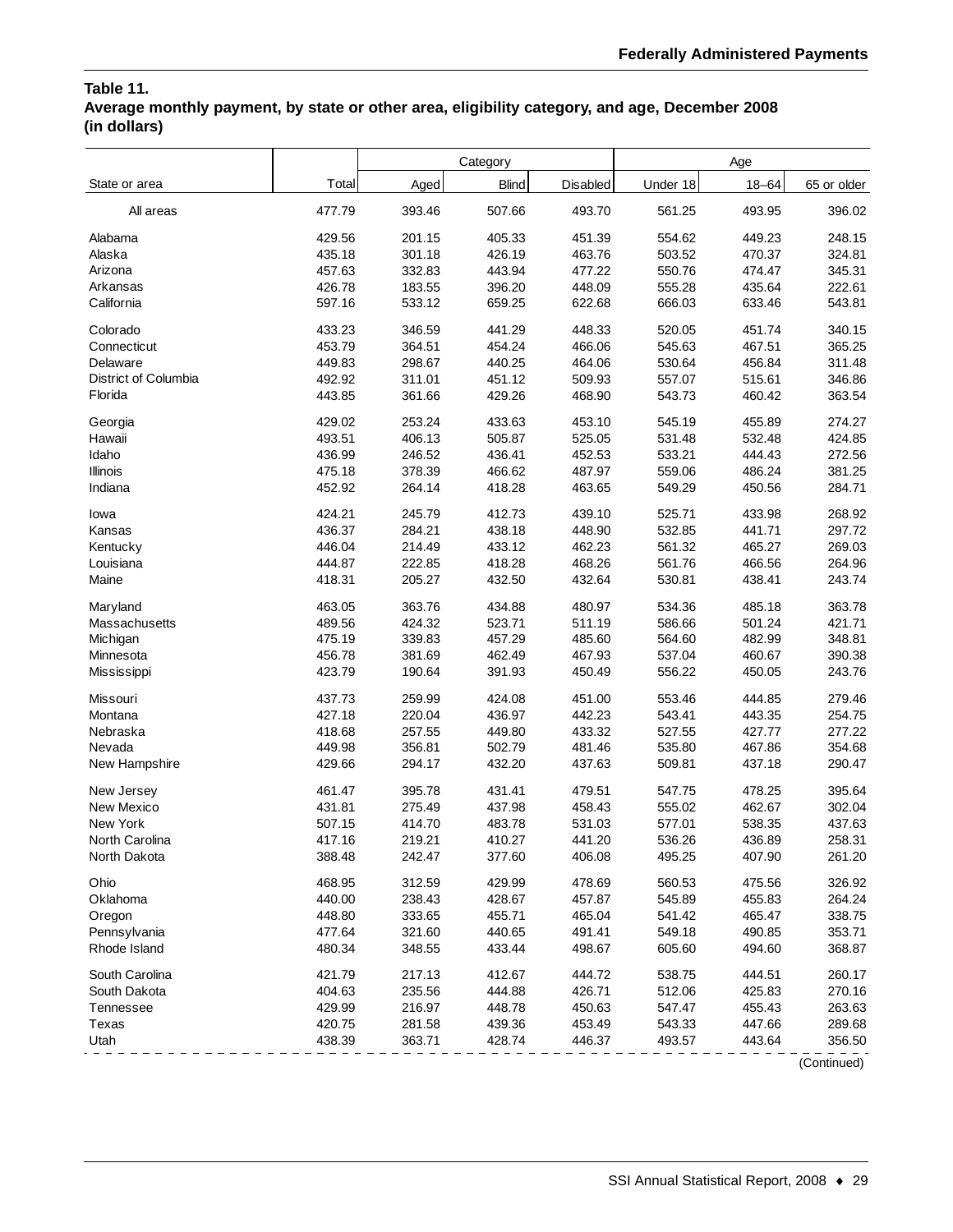## **Table 11. Average monthly payment, by state or other area, eligibility category, and age, December 2008 (in dollars)**

|                      |        |        | Category     |          |          | Age       |             |
|----------------------|--------|--------|--------------|----------|----------|-----------|-------------|
| State or area        | Total  | Aged   | <b>Blind</b> | Disabled | Under 18 | $18 - 64$ | 65 or older |
| All areas            | 477.79 | 393.46 | 507.66       | 493.70   | 561.25   | 493.95    | 396.02      |
| Alabama              | 429.56 | 201.15 | 405.33       | 451.39   | 554.62   | 449.23    | 248.15      |
| Alaska               | 435.18 | 301.18 | 426.19       | 463.76   | 503.52   | 470.37    | 324.81      |
| Arizona              | 457.63 | 332.83 | 443.94       | 477.22   | 550.76   | 474.47    | 345.31      |
| Arkansas             | 426.78 | 183.55 | 396.20       | 448.09   | 555.28   | 435.64    | 222.61      |
| California           | 597.16 | 533.12 | 659.25       | 622.68   | 666.03   | 633.46    | 543.81      |
| Colorado             | 433.23 | 346.59 | 441.29       | 448.33   | 520.05   | 451.74    | 340.15      |
| Connecticut          | 453.79 | 364.51 | 454.24       | 466.06   | 545.63   | 467.51    | 365.25      |
| Delaware             | 449.83 | 298.67 | 440.25       | 464.06   | 530.64   | 456.84    | 311.48      |
| District of Columbia | 492.92 | 311.01 | 451.12       | 509.93   | 557.07   | 515.61    | 346.86      |
| Florida              | 443.85 | 361.66 | 429.26       | 468.90   | 543.73   | 460.42    | 363.54      |
| Georgia              | 429.02 | 253.24 | 433.63       | 453.10   | 545.19   | 455.89    | 274.27      |
| Hawaii               | 493.51 | 406.13 | 505.87       | 525.05   | 531.48   | 532.48    | 424.85      |
| Idaho                | 436.99 | 246.52 | 436.41       | 452.53   | 533.21   | 444.43    | 272.56      |
| Illinois             | 475.18 | 378.39 | 466.62       | 487.97   | 559.06   | 486.24    | 381.25      |
| Indiana              | 452.92 | 264.14 | 418.28       | 463.65   | 549.29   | 450.56    | 284.71      |
| lowa                 | 424.21 | 245.79 | 412.73       | 439.10   | 525.71   | 433.98    | 268.92      |
| Kansas               | 436.37 | 284.21 | 438.18       | 448.90   | 532.85   | 441.71    | 297.72      |
| Kentucky             | 446.04 | 214.49 | 433.12       | 462.23   | 561.32   | 465.27    | 269.03      |
| Louisiana            | 444.87 | 222.85 | 418.28       | 468.26   | 561.76   | 466.56    | 264.96      |
| Maine                | 418.31 | 205.27 | 432.50       | 432.64   | 530.81   | 438.41    | 243.74      |
| Maryland             | 463.05 | 363.76 | 434.88       | 480.97   | 534.36   | 485.18    | 363.78      |
| Massachusetts        | 489.56 | 424.32 | 523.71       | 511.19   | 586.66   | 501.24    | 421.71      |
| Michigan             | 475.19 | 339.83 | 457.29       | 485.60   | 564.60   | 482.99    | 348.81      |
| Minnesota            | 456.78 | 381.69 | 462.49       | 467.93   | 537.04   | 460.67    | 390.38      |
| Mississippi          | 423.79 | 190.64 | 391.93       | 450.49   | 556.22   | 450.05    | 243.76      |
| Missouri             | 437.73 | 259.99 | 424.08       | 451.00   | 553.46   | 444.85    | 279.46      |
| Montana              | 427.18 | 220.04 | 436.97       | 442.23   | 543.41   | 443.35    | 254.75      |
| Nebraska             | 418.68 | 257.55 | 449.80       | 433.32   | 527.55   | 427.77    | 277.22      |
| Nevada               | 449.98 | 356.81 | 502.79       | 481.46   | 535.80   | 467.86    | 354.68      |
| New Hampshire        | 429.66 | 294.17 | 432.20       | 437.63   | 509.81   | 437.18    | 290.47      |
| New Jersey           | 461.47 | 395.78 | 431.41       | 479.51   | 547.75   | 478.25    | 395.64      |
| New Mexico           | 431.81 | 275.49 | 437.98       | 458.43   | 555.02   | 462.67    | 302.04      |
| New York             | 507.15 | 414.70 | 483.78       | 531.03   | 577.01   | 538.35    | 437.63      |
| North Carolina       | 417.16 | 219.21 | 410.27       | 441.20   | 536.26   | 436.89    | 258.31      |
| North Dakota         | 388.48 | 242.47 | 377.60       | 406.08   | 495.25   | 407.90    | 261.20      |
| Ohio                 | 468.95 | 312.59 | 429.99       | 478.69   | 560.53   | 475.56    | 326.92      |
| Oklahoma             | 440.00 | 238.43 | 428.67       | 457.87   | 545.89   | 455.83    | 264.24      |
| Oregon               | 448.80 | 333.65 | 455.71       | 465.04   | 541.42   | 465.47    | 338.75      |
| Pennsylvania         | 477.64 | 321.60 | 440.65       | 491.41   | 549.18   | 490.85    | 353.71      |
| Rhode Island         | 480.34 | 348.55 | 433.44       | 498.67   | 605.60   | 494.60    | 368.87      |
| South Carolina       | 421.79 | 217.13 | 412.67       | 444.72   | 538.75   | 444.51    | 260.17      |
| South Dakota         | 404.63 | 235.56 | 444.88       | 426.71   | 512.06   | 425.83    | 270.16      |
| Tennessee            | 429.99 | 216.97 | 448.78       | 450.63   | 547.47   | 455.43    | 263.63      |
| Texas                | 420.75 | 281.58 | 439.36       | 453.49   | 543.33   | 447.66    | 289.68      |
| Utah                 | 438.39 | 363.71 | 428.74       | 446.37   | 493.57   | 443.64    | 356.50      |

(Continued)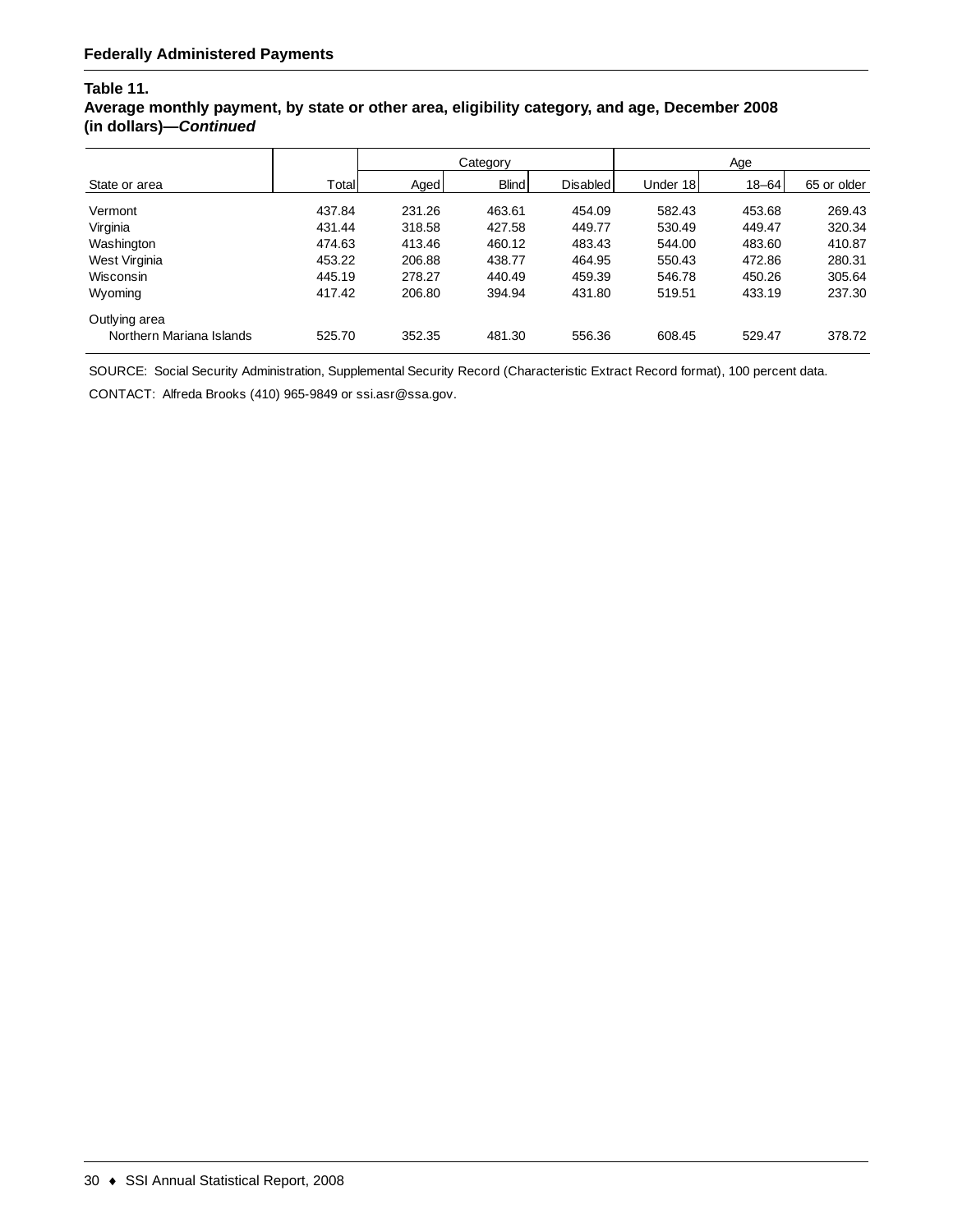### **Table 11.**

### **Average monthly payment, by state or other area, eligibility category, and age, December 2008 (in dollars)—***Continued*

|                          |        | Category |              |                 | Age      |           |             |
|--------------------------|--------|----------|--------------|-----------------|----------|-----------|-------------|
| State or area            | Total  | Aged     | <b>Blind</b> | <b>Disabled</b> | Under 18 | $18 - 64$ | 65 or older |
| Vermont                  | 437.84 | 231.26   | 463.61       | 454.09          | 582.43   | 453.68    | 269.43      |
| Virginia                 | 431.44 | 318.58   | 427.58       | 449.77          | 530.49   | 449.47    | 320.34      |
| Washington               | 474.63 | 413.46   | 460.12       | 483.43          | 544.00   | 483.60    | 410.87      |
| West Virginia            | 453.22 | 206.88   | 438.77       | 464.95          | 550.43   | 472.86    | 280.31      |
| Wisconsin                | 445.19 | 278.27   | 440.49       | 459.39          | 546.78   | 450.26    | 305.64      |
| Wyoming                  | 417.42 | 206.80   | 394.94       | 431.80          | 519.51   | 433.19    | 237.30      |
| Outlying area            |        |          |              |                 |          |           |             |
| Northern Mariana Islands | 525.70 | 352.35   | 481.30       | 556.36          | 608.45   | 529.47    | 378.72      |

SOURCE: Social Security Administration, Supplemental Security Record (Characteristic Extract Record format), 100 percent data.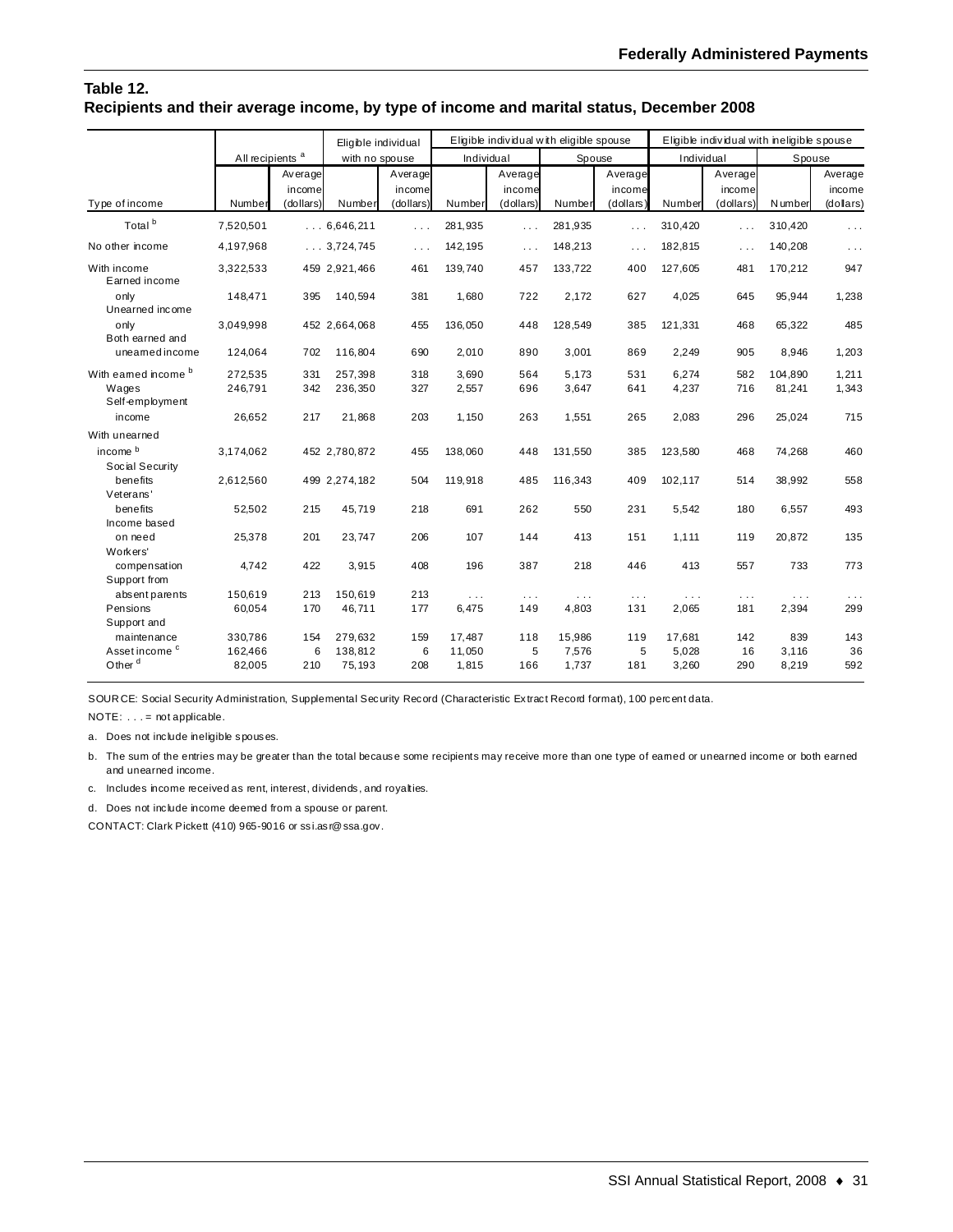#### **Table 12. Recipients and their average income, by type of income and marital status, December 2008**

|                                                 |                             |                                | Eligible individual |                                |                 |                                | Eligible individual with eligible spouse |                                |                | Eligible individual with ineligible spouse |                |                                |
|-------------------------------------------------|-----------------------------|--------------------------------|---------------------|--------------------------------|-----------------|--------------------------------|------------------------------------------|--------------------------------|----------------|--------------------------------------------|----------------|--------------------------------|
|                                                 | All recipients <sup>a</sup> |                                | with no spouse      |                                | Individual      |                                | Spouse                                   |                                | Individual     |                                            | Spouse         |                                |
| Type of income                                  | Number                      | Average<br>income<br>(dollars) | Number              | Average<br>income<br>(dollars) | Number          | Average<br>income<br>(dollars) | Number                                   | Average<br>income<br>(dollars) | Number         | Average<br>income<br>(dollars)             | N umber        | Average<br>income<br>(dollars) |
| Total <sup>b</sup>                              | 7,520,501                   |                                | 0.6646211           | $\sim$                         | 281,935         | $\cdots$                       | 281,935                                  | $\cdots$                       | 310,420        | .                                          | 310,420        | $\cdots$                       |
| No other income                                 | 4,197,968                   |                                | 3,724,745           | $\cdots$                       | 142, 195        | $\cdots$                       | 148,213                                  | $\cdots$                       | 182,815        |                                            | 140,208        | $\cdots$                       |
| With income<br>Earned income                    | 3,322,533                   |                                | 459 2,921,466       | 461                            | 139,740         | 457                            | 133,722                                  | 400                            | 127,605        | 481                                        | 170,212        | 947                            |
| only<br>Unearned income                         | 148,471                     | 395                            | 140,594             | 381                            | 1,680           | 722                            | 2.172                                    | 627                            | 4,025          | 645                                        | 95,944         | 1,238                          |
| only<br>Both earned and                         | 3,049,998                   |                                | 452 2,664,068       | 455                            | 136,050         | 448                            | 128,549                                  | 385                            | 121,331        | 468                                        | 65,322         | 485                            |
| uneamed income                                  | 124,064                     | 702                            | 116,804             | 690                            | 2,010           | 890                            | 3,001                                    | 869                            | 2,249          | 905                                        | 8,946          | 1,203                          |
| With eamed income <sup>b</sup>                  | 272,535                     | 331                            | 257,398             | 318                            | 3,690           | 564                            | 5,173                                    | 531                            | 6,274          | 582                                        | 104,890        | 1,211                          |
| Wages<br>Self-employment                        | 246,791                     | 342                            | 236,350             | 327                            | 2,557           | 696                            | 3,647                                    | 641                            | 4,237          | 716                                        | 81,241         | 1,343                          |
| income                                          | 26,652                      | 217                            | 21,868              | 203                            | 1,150           | 263                            | 1,551                                    | 265                            | 2,083          | 296                                        | 25,024         | 715                            |
| With unearned                                   |                             |                                |                     |                                |                 |                                |                                          |                                |                |                                            |                |                                |
| income b<br>Social Security                     | 3,174,062                   |                                | 452 2,780,872       | 455                            | 138,060         | 448                            | 131,550                                  | 385                            | 123,580        | 468                                        | 74,268         | 460                            |
| benefits<br>Veterans'                           | 2,612,560                   |                                | 499 2,274,182       | 504                            | 119,918         | 485                            | 116,343                                  | 409                            | 102,117        | 514                                        | 38,992         | 558                            |
| benefits<br>Income based                        | 52,502                      | 215                            | 45.719              | 218                            | 691             | 262                            | 550                                      | 231                            | 5,542          | 180                                        | 6,557          | 493                            |
| on need<br>Workers'                             | 25,378                      | 201                            | 23.747              | 206                            | 107             | 144                            | 413                                      | 151                            | 1.111          | 119                                        | 20,872         | 135                            |
| compensation<br>Support from                    | 4,742                       | 422                            | 3,915               | 408                            | 196             | 387                            | 218                                      | 446                            | 413            | 557                                        | 733            | 773                            |
| absent parents                                  | 150,619                     | 213                            | 150.619             | 213                            | $\cdots$        | $\cdots$                       | $\ldots$                                 | $\cdots$                       | .              | $\sim$ $\sim$ $\sim$                       | .              |                                |
| Pensions<br>Support and                         | 60,054                      | 170                            | 46,711              | 177                            | 6,475           | 149                            | 4.803                                    | 131                            | 2,065          | 181                                        | 2,394          | 299                            |
| maintenance                                     | 330,786                     | 154                            | 279,632             | 159                            | 17,487          | 118                            | 15,986                                   | 119                            | 17,681         | 142                                        | 839            | 143                            |
| Asset income <sup>c</sup><br>Other <sup>d</sup> | 162,466<br>82,005           | 6<br>210                       | 138,812<br>75,193   | 6<br>208                       | 11,050<br>1,815 | 5<br>166                       | 7,576<br>1,737                           | 5<br>181                       | 5,028<br>3,260 | 16<br>290                                  | 3,116<br>8,219 | 36<br>592                      |

SOUR CE: Social Security Administration, Supplemental Security Record (Characteristic Extract Record format), 100 percent data.

NOTE: . . . = not applicable.

a. Does not include ineligible spouses.

b. The sum of the entries may be greater than the total because some recipients may receive more than one type of earned or unearned income or both earned and unearned income.

- c. Includes income received as rent, interest, dividends, and royalties.
- d. Does not include income deemed from a spouse or parent.

CONTACT: Clark Pickett (410) 965-9016 or ssi.asr@ssa.gov.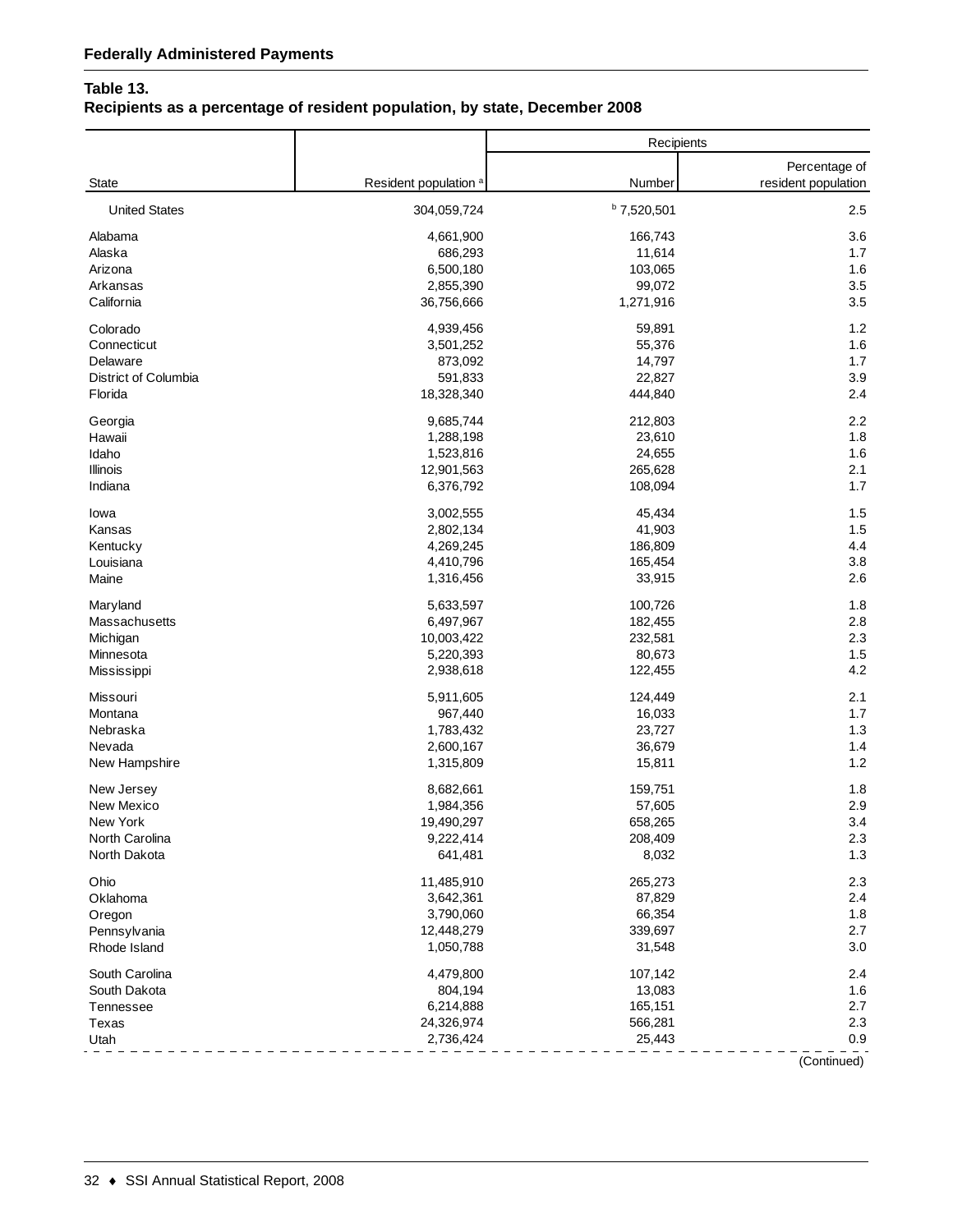## **Table 13.**

# **Recipients as a percentage of resident population, by state, December 2008**

|                      |                                  | Recipients    |                                      |
|----------------------|----------------------------------|---------------|--------------------------------------|
| State                | Resident population <sup>a</sup> | Number        | Percentage of<br>resident population |
| <b>United States</b> | 304,059,724                      | $b$ 7,520,501 | 2.5                                  |
| Alabama              | 4,661,900                        | 166,743       | 3.6                                  |
| Alaska               | 686,293                          | 11,614        | 1.7                                  |
| Arizona              | 6,500,180                        | 103,065       | 1.6                                  |
| Arkansas             | 2,855,390                        | 99,072        | 3.5                                  |
| California           | 36,756,666                       | 1,271,916     | 3.5                                  |
| Colorado             | 4,939,456                        | 59,891        | 1.2                                  |
| Connecticut          | 3,501,252                        | 55,376        | 1.6                                  |
| Delaware             | 873,092                          | 14,797        | 1.7                                  |
| District of Columbia | 591,833                          | 22,827        | 3.9                                  |
| Florida              | 18,328,340                       | 444,840       | 2.4                                  |
| Georgia              | 9,685,744                        | 212,803       | 2.2                                  |
| Hawaii               | 1,288,198                        | 23,610        | 1.8                                  |
| Idaho                | 1,523,816                        | 24,655        | 1.6                                  |
| Illinois             | 12,901,563                       | 265,628       | 2.1                                  |
| Indiana              | 6,376,792                        | 108,094       | 1.7                                  |
| lowa                 | 3,002,555                        | 45,434        | 1.5                                  |
| Kansas               | 2,802,134                        | 41,903        | 1.5                                  |
| Kentucky             | 4,269,245                        | 186,809       | 4.4                                  |
| Louisiana            | 4,410,796                        | 165,454       | 3.8                                  |
| Maine                | 1,316,456                        | 33,915        | 2.6                                  |
| Maryland             | 5,633,597                        | 100,726       | 1.8                                  |
| Massachusetts        | 6,497,967                        | 182,455       | 2.8                                  |
| Michigan             | 10,003,422                       | 232,581       | 2.3                                  |
| Minnesota            | 5,220,393                        | 80,673        | 1.5                                  |
| Mississippi          | 2,938,618                        | 122,455       | 4.2                                  |
| Missouri             | 5,911,605                        | 124,449       | 2.1                                  |
| Montana              | 967,440                          | 16,033        | 1.7                                  |
| Nebraska             | 1,783,432                        | 23,727        | 1.3                                  |
| Nevada               | 2,600,167                        | 36,679        | 1.4                                  |
| New Hampshire        | 1,315,809                        | 15,811        | 1.2                                  |
| New Jersey           | 8,682,661                        | 159,751       | 1.8                                  |
| New Mexico           | 1,984,356                        | 57,605        | 2.9                                  |
| New York             | 19,490,297                       | 658,265       | 3.4                                  |
| North Carolina       | 9,222,414                        | 208,409       | 2.3                                  |
| North Dakota         | 641,481                          | 8,032         | 1.3                                  |
| Ohio                 | 11,485,910                       | 265,273       | 2.3                                  |
| Oklahoma             | 3,642,361                        | 87,829        | 2.4                                  |
| Oregon               | 3,790,060                        | 66,354        | 1.8                                  |
| Pennsylvania         | 12,448,279                       | 339,697       | 2.7                                  |
| Rhode Island         | 1,050,788                        | 31,548        | 3.0                                  |
| South Carolina       | 4,479,800                        | 107,142       | 2.4                                  |
| South Dakota         | 804,194                          | 13,083        | 1.6                                  |
| Tennessee            | 6,214,888                        | 165,151       | 2.7                                  |
| Texas                | 24,326,974                       | 566,281       | 2.3                                  |
| Utah                 | 2,736,424                        | 25,443        | 0.9                                  |

(Continued)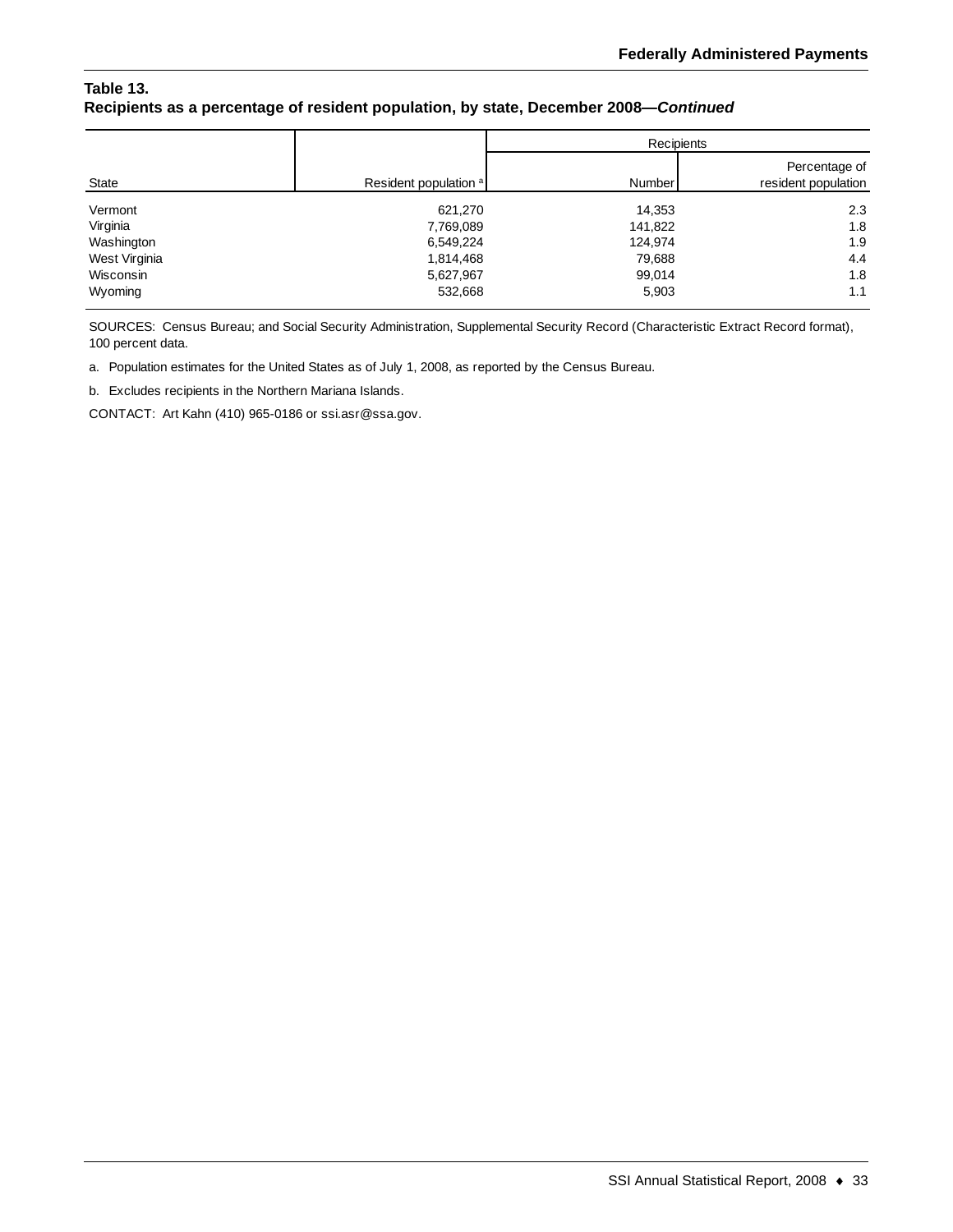#### **Table 13. Recipients as a percentage of resident population, by state, December 2008—***Continued*

|               |                                  | Recipients |                                      |  |
|---------------|----------------------------------|------------|--------------------------------------|--|
| State         | Resident population <sup>a</sup> | Number     | Percentage of<br>resident population |  |
| Vermont       | 621,270                          | 14,353     | 2.3                                  |  |
| Virginia      | 7,769,089                        | 141,822    | 1.8                                  |  |
| Washington    | 6,549,224                        | 124,974    | 1.9                                  |  |
| West Virginia | 1,814,468                        | 79,688     | 4.4                                  |  |
| Wisconsin     | 5,627,967                        | 99,014     | 1.8                                  |  |
| Wyoming       | 532,668                          | 5,903      | 1.1                                  |  |

SOURCES: Census Bureau; and Social Security Administration, Supplemental Security Record (Characteristic Extract Record format), 100 percent data.

a. Population estimates for the United States as of July 1, 2008, as reported by the Census Bureau.

b. Excludes recipients in the Northern Mariana Islands.

CONTACT: Art Kahn (410) 965-0186 or ssi.asr@ssa.gov.